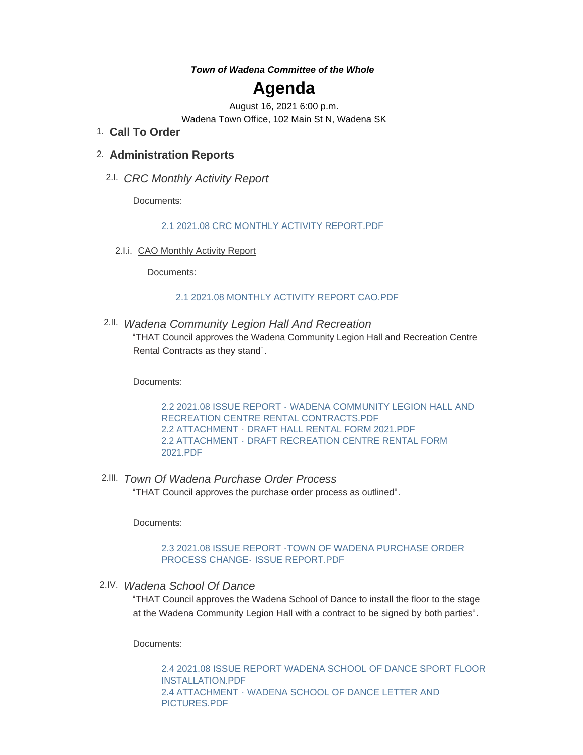#### *Town of Wadena Committee of the Whole*

# **Agenda**

August 16, 2021 6:00 p.m. Wadena Town Office, 102 Main St N, Wadena SK

**Call To Order** 1.

# **Administration Reports** 2.

*CRC Monthly Activity Report* 2.I.

Documents:

### [2.1 2021.08 CRC MONTHLY ACTIVITY REPORT.PDF](http://www.townofwadena.com/AgendaCenter/ViewFile/Item/2902?fileID=3439)

2.I.i. CAO Monthly Activity Report

Documents:

#### [2.1 2021.08 MONTHLY ACTIVITY REPORT CAO.PDF](http://www.townofwadena.com/AgendaCenter/ViewFile/Item/2903?fileID=3440)

*Wadena Community Legion Hall And Recreation* 2.II.

"THAT Council approves the Wadena Community Legion Hall and Recreation Centre Rental Contracts as they stand".

Documents:

2.2 2021.08 ISSUE REPORT - WADENA COMMUNITY LEGION HALL AND [RECREATION CENTRE RENTAL CONTRACTS.PDF](http://www.townofwadena.com/AgendaCenter/ViewFile/Item/2896?fileID=3430) 2.2 ATTACHMENT - [DRAFT HALL RENTAL FORM 2021.PDF](http://www.townofwadena.com/AgendaCenter/ViewFile/Item/2896?fileID=3431) 2.2 ATTACHMENT - [DRAFT RECREATION CENTRE RENTAL FORM](http://www.townofwadena.com/AgendaCenter/ViewFile/Item/2896?fileID=3432)  2021.PDF

*Town Of Wadena Purchase Order Process* 2.III. "THAT Council approves the purchase order process as outlined".

Documents:

#### [2.3 2021.08 ISSUE REPORT -TOWN OF WADENA PURCHASE ORDER](http://www.townofwadena.com/AgendaCenter/ViewFile/Item/2897?fileID=3433)  PROCESS CHANGE- ISSUE REPORT.PDF

*Wadena School Of Dance* 2.IV.

"THAT Council approves the Wadena School of Dance to install the floor to the stage at the Wadena Community Legion Hall with a contract to be signed by both parties".

Documents:

[2.4 2021.08 ISSUE REPORT WADENA SCHOOL OF DANCE SPORT FLOOR](http://www.townofwadena.com/AgendaCenter/ViewFile/Item/2906?fileID=3445)  INSTALLATION.PDF 2.4 ATTACHMENT - [WADENA SCHOOL OF DANCE LETTER AND](http://www.townofwadena.com/AgendaCenter/ViewFile/Item/2906?fileID=3446)  PICTURES.PDF